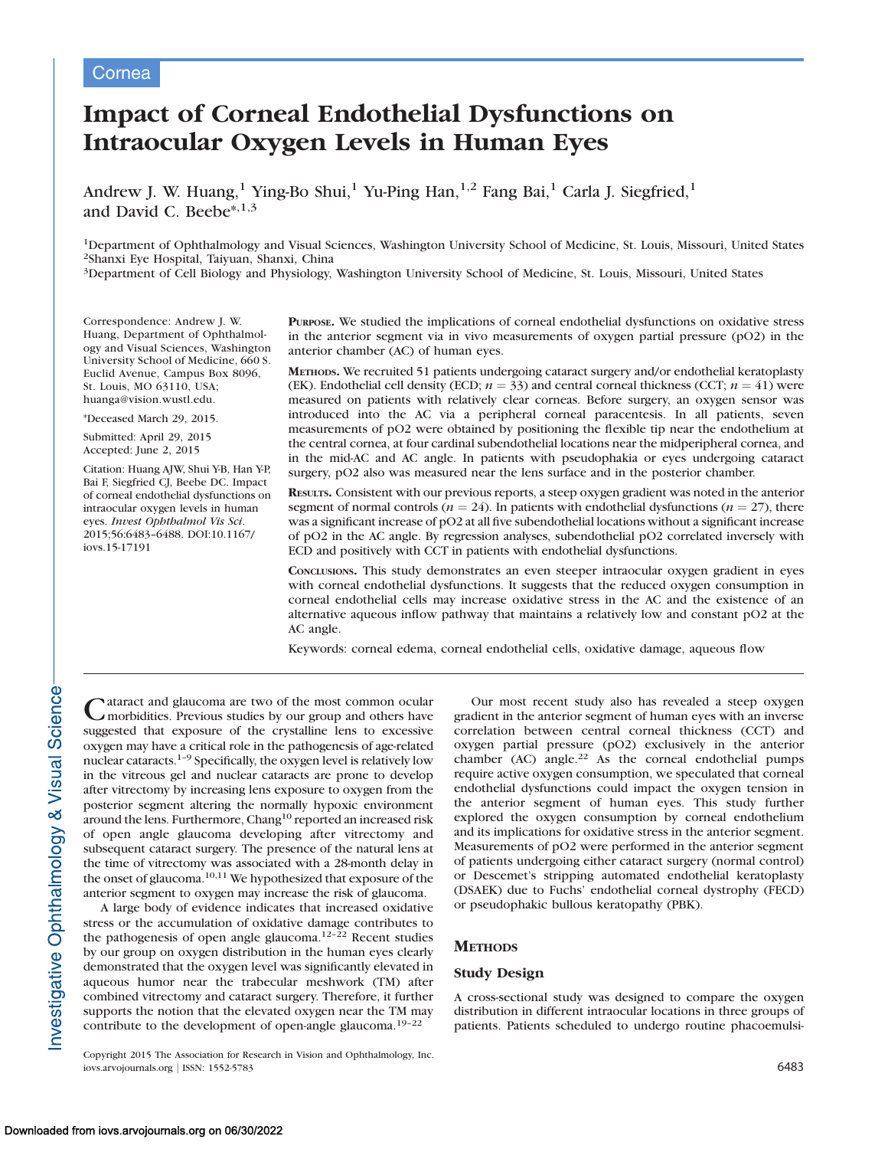## Cornea

# Impact of Corneal Endothelial Dysfunctions on Intraocular Oxygen Levels in Human Eyes

Andrew J. W. Huang,<sup>1</sup> Ying-Bo Shui,<sup>1</sup> Yu-Ping Han,<sup>1,2</sup> Fang Bai,<sup>1</sup> Carla J. Siegfried,<sup>1</sup> and David C. Beebe\*, 1,3

1Department of Ophthalmology and Visual Sciences, Washington University School of Medicine, St. Louis, Missouri, United States 2Shanxi Eye Hospital, Taiyuan, Shanxi, China

3Department of Cell Biology and Physiology, Washington University School of Medicine, St. Louis, Missouri, United States

Correspondence: Andrew J. W. Huang, Department of Ophthalmology and Visual Sciences, Washington University School of Medicine, 660 S. Euclid Avenue, Campus Box 8096, St. Louis, MO 63110, USA; huanga@vision.wustl.edu.

\*Deceased March 29, 2015.

Submitted: April 29, 2015 Accepted: June 2, 2015

Citation: Huang AJW, Shui Y-B, Han Y-P, Bai F, Siegfried CJ, Beebe DC. Impact of corneal endothelial dysfunctions on intraocular oxygen levels in human eyes. Invest Ophthalmol Vis Sci. 2015;56:6483–6488. DOI:10.1167/ iovs.15-17191

PURPOSE. We studied the implications of corneal endothelial dysfunctions on oxidative stress in the anterior segment via in vivo measurements of oxygen partial pressure (pO2) in the anterior chamber (AC) of human eyes.

METHODS. We recruited 51 patients undergoing cataract surgery and/or endothelial keratoplasty (EK). Endothelial cell density (ECD;  $n = 33$ ) and central corneal thickness (CCT;  $n = 41$ ) were measured on patients with relatively clear corneas. Before surgery, an oxygen sensor was introduced into the AC via a peripheral corneal paracentesis. In all patients, seven measurements of pO2 were obtained by positioning the flexible tip near the endothelium at the central cornea, at four cardinal subendothelial locations near the midperipheral cornea, and in the mid-AC and AC angle. In patients with pseudophakia or eyes undergoing cataract surgery, pO2 also was measured near the lens surface and in the posterior chamber.

RESULTS. Consistent with our previous reports, a steep oxygen gradient was noted in the anterior segment of normal controls ( $n = 24$ ). In patients with endothelial dysfunctions ( $n = 27$ ), there was a significant increase of pO2 at all five subendothelial locations without a significant increase of pO2 in the AC angle. By regression analyses, subendothelial pO2 correlated inversely with ECD and positively with CCT in patients with endothelial dysfunctions.

CONCLUSIONS. This study demonstrates an even steeper intraocular oxygen gradient in eyes with corneal endothelial dysfunctions. It suggests that the reduced oxygen consumption in corneal endothelial cells may increase oxidative stress in the AC and the existence of an alternative aqueous inflow pathway that maintains a relatively low and constant pO2 at the AC angle.

Keywords: corneal edema, corneal endothelial cells, oxidative damage, aqueous flow

Cataract and glaucoma are two of the most common ocular morbidities. Previous studies by our group and others have suggested that exposure of the crystalline lens to excessive oxygen may have a critical role in the pathogenesis of age-related nuclear cataracts.1–9 Specifically, the oxygen level is relatively low in the vitreous gel and nuclear cataracts are prone to develop after vitrectomy by increasing lens exposure to oxygen from the posterior segment altering the normally hypoxic environment around the lens. Furthermore, Chang<sup>10</sup> reported an increased risk of open angle glaucoma developing after vitrectomy and subsequent cataract surgery. The presence of the natural lens at the time of vitrectomy was associated with a 28-month delay in the onset of glaucoma.10,11 We hypothesized that exposure of the anterior segment to oxygen may increase the risk of glaucoma.

A large body of evidence indicates that increased oxidative stress or the accumulation of oxidative damage contributes to the pathogenesis of open angle glaucoma.12–22 Recent studies by our group on oxygen distribution in the human eyes clearly demonstrated that the oxygen level was significantly elevated in aqueous humor near the trabecular meshwork (TM) after combined vitrectomy and cataract surgery. Therefore, it further supports the notion that the elevated oxygen near the TM may contribute to the development of open-angle glaucoma.<sup>19–22</sup>

Copyright 2015 The Association for Research in Vision and Ophthalmology, Inc. iovs.arvojournals.org j ISSN: 1552-5783 6483

Our most recent study also has revealed a steep oxygen gradient in the anterior segment of human eyes with an inverse correlation between central corneal thickness (CCT) and oxygen partial pressure (pO2) exclusively in the anterior chamber (AC) angle.<sup>22</sup> As the corneal endothelial pumps require active oxygen consumption, we speculated that corneal endothelial dysfunctions could impact the oxygen tension in the anterior segment of human eyes. This study further explored the oxygen consumption by corneal endothelium and its implications for oxidative stress in the anterior segment. Measurements of pO2 were performed in the anterior segment of patients undergoing either cataract surgery (normal control) or Descemet's stripping automated endothelial keratoplasty (DSAEK) due to Fuchs' endothelial corneal dystrophy (FECD) or pseudophakic bullous keratopathy (PBK).

## **METHODS**

## Study Design

A cross-sectional study was designed to compare the oxygen distribution in different intraocular locations in three groups of patients. Patients scheduled to undergo routine phacoemulsi-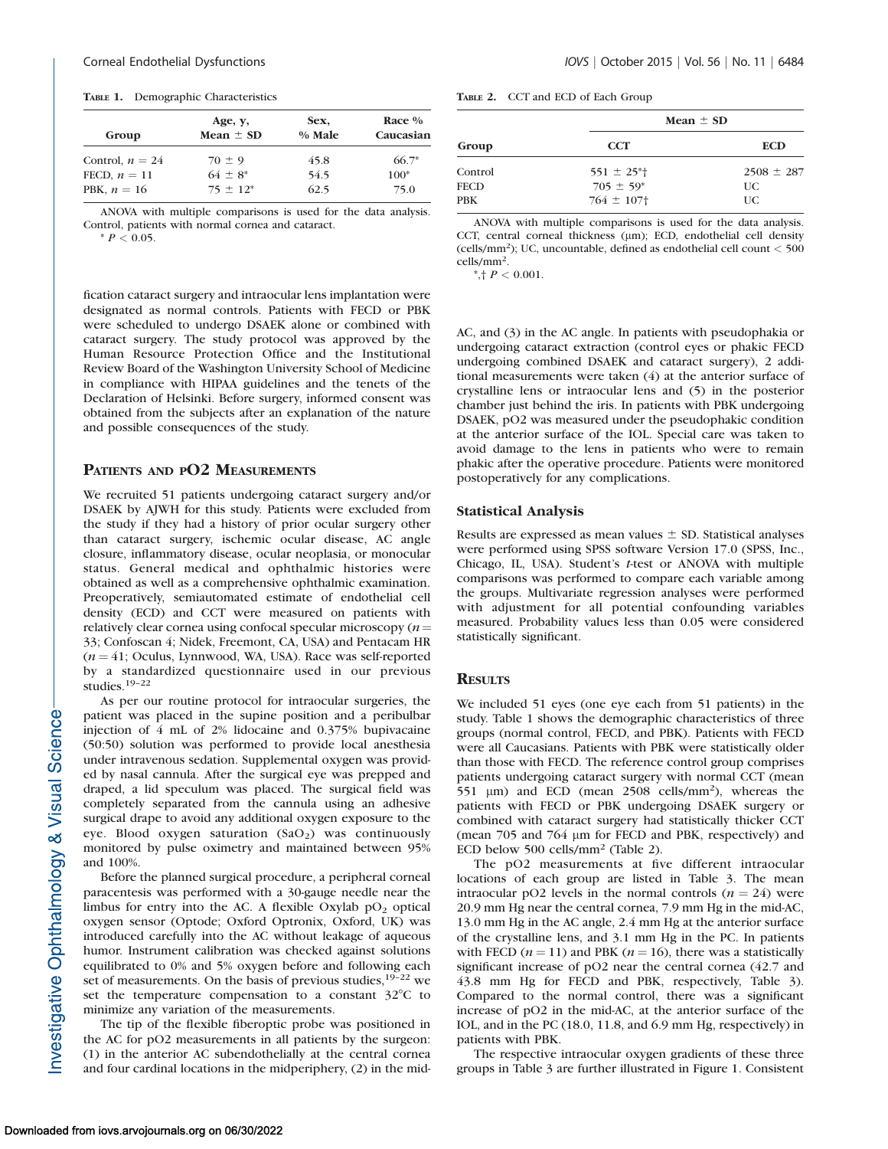TABLE 1. Demographic Characteristics

| Group             | Age, y,<br>Mean $\pm$ SD | Sex,<br>$%$ Male | Race $\%$<br>Caucasian |
|-------------------|--------------------------|------------------|------------------------|
| Control, $n = 24$ | $70 \pm 9$               | 45.8             | $66.7*$                |
| FECD, $n = 11$    | $64 \pm 8^*$             | 54.5             | $100*$                 |
| PBK, $n = 16$     | $75 \pm 12^*$            | 62.5             | 75.0                   |

ANOVA with multiple comparisons is used for the data analysis. Control, patients with normal cornea and cataract.

 $* P < 0.05.$ 

fication cataract surgery and intraocular lens implantation were designated as normal controls. Patients with FECD or PBK were scheduled to undergo DSAEK alone or combined with cataract surgery. The study protocol was approved by the Human Resource Protection Office and the Institutional Review Board of the Washington University School of Medicine in compliance with HIPAA guidelines and the tenets of the Declaration of Helsinki. Before surgery, informed consent was obtained from the subjects after an explanation of the nature and possible consequences of the study.

### PATIENTS AND PO2 MEASUREMENTS

We recruited 51 patients undergoing cataract surgery and/or DSAEK by AJWH for this study. Patients were excluded from the study if they had a history of prior ocular surgery other than cataract surgery, ischemic ocular disease, AC angle closure, inflammatory disease, ocular neoplasia, or monocular status. General medical and ophthalmic histories were obtained as well as a comprehensive ophthalmic examination. Preoperatively, semiautomated estimate of endothelial cell density (ECD) and CCT were measured on patients with relatively clear cornea using confocal specular microscopy  $(n =$ 33; Confoscan 4; Nidek, Freemont, CA, USA) and Pentacam HR  $(n = 41;$  Oculus, Lynnwood, WA, USA). Race was self-reported by a standardized questionnaire used in our previous studies.19–22

As per our routine protocol for intraocular surgeries, the patient was placed in the supine position and a peribulbar injection of 4 mL of 2% lidocaine and 0.375% bupivacaine (50:50) solution was performed to provide local anesthesia under intravenous sedation. Supplemental oxygen was provided by nasal cannula. After the surgical eye was prepped and draped, a lid speculum was placed. The surgical field was completely separated from the cannula using an adhesive surgical drape to avoid any additional oxygen exposure to the eye. Blood oxygen saturation  $(SaO<sub>2</sub>)$  was continuously monitored by pulse oximetry and maintained between 95% and 100%.

Before the planned surgical procedure, a peripheral corneal paracentesis was performed with a 30-gauge needle near the limbus for entry into the AC. A flexible Oxylab  $pO<sub>2</sub>$  optical oxygen sensor (Optode; Oxford Optronix, Oxford, UK) was introduced carefully into the AC without leakage of aqueous humor. Instrument calibration was checked against solutions equilibrated to 0% and 5% oxygen before and following each set of measurements. On the basis of previous studies,  $19-22$  we set the temperature compensation to a constant  $32^{\circ}$ C to minimize any variation of the measurements.

The tip of the flexible fiberoptic probe was positioned in the AC for pO2 measurements in all patients by the surgeon: (1) in the anterior AC subendothelially at the central cornea and four cardinal locations in the midperiphery, (2) in the mid-

TABLE 2. CCT and ECD of Each Group

| Group       |                           | Mean $\pm$ SD  |
|-------------|---------------------------|----------------|
|             | <b>CCT</b>                | <b>ECD</b>     |
| Control     | $551 \pm 25$ <sup>*</sup> | $2508 \pm 287$ |
| <b>FECD</b> | $705 \pm 59^*$            | UC             |
| <b>PBK</b>  | $764 \pm 107$             | UC             |

ANOVA with multiple comparisons is used for the data analysis. CCT, central corneal thickness (um); ECD, endothelial cell density (cells/mm2); UC, uncountable, defined as endothelial cell count < 500 cells/mm2.

\*,†  $P < 0.001$ .

AC, and (3) in the AC angle. In patients with pseudophakia or undergoing cataract extraction (control eyes or phakic FECD undergoing combined DSAEK and cataract surgery), 2 additional measurements were taken (4) at the anterior surface of crystalline lens or intraocular lens and (5) in the posterior chamber just behind the iris. In patients with PBK undergoing DSAEK, pO2 was measured under the pseudophakic condition at the anterior surface of the IOL. Special care was taken to avoid damage to the lens in patients who were to remain phakic after the operative procedure. Patients were monitored postoperatively for any complications.

#### Statistical Analysis

Results are expressed as mean values  $\pm$  SD. Statistical analyses were performed using SPSS software Version 17.0 (SPSS, Inc., Chicago, IL, USA). Student's t-test or ANOVA with multiple comparisons was performed to compare each variable among the groups. Multivariate regression analyses were performed with adjustment for all potential confounding variables measured. Probability values less than 0.05 were considered statistically significant.

#### **RESULTS**

We included 51 eyes (one eye each from 51 patients) in the study. Table 1 shows the demographic characteristics of three groups (normal control, FECD, and PBK). Patients with FECD were all Caucasians. Patients with PBK were statistically older than those with FECD. The reference control group comprises patients undergoing cataract surgery with normal CCT (mean 551  $\mu$ m) and ECD (mean 2508 cells/mm<sup>2</sup>), whereas the patients with FECD or PBK undergoing DSAEK surgery or combined with cataract surgery had statistically thicker CCT (mean 705 and 764 lm for FECD and PBK, respectively) and ECD below 500 cells/mm<sup>2</sup> (Table 2).

The pO2 measurements at five different intraocular locations of each group are listed in Table 3. The mean intraocular pO2 levels in the normal controls  $(n = 24)$  were 20.9 mm Hg near the central cornea, 7.9 mm Hg in the mid-AC, 13.0 mm Hg in the AC angle, 2.4 mm Hg at the anterior surface of the crystalline lens, and 3.1 mm Hg in the PC. In patients with FECD ( $n = 11$ ) and PBK ( $n = 16$ ), there was a statistically significant increase of pO2 near the central cornea (42.7 and 43.8 mm Hg for FECD and PBK, respectively, Table 3). Compared to the normal control, there was a significant increase of pO2 in the mid-AC, at the anterior surface of the IOL, and in the PC (18.0, 11.8, and 6.9 mm Hg, respectively) in patients with PBK.

The respective intraocular oxygen gradients of these three groups in Table 3 are further illustrated in Figure 1. Consistent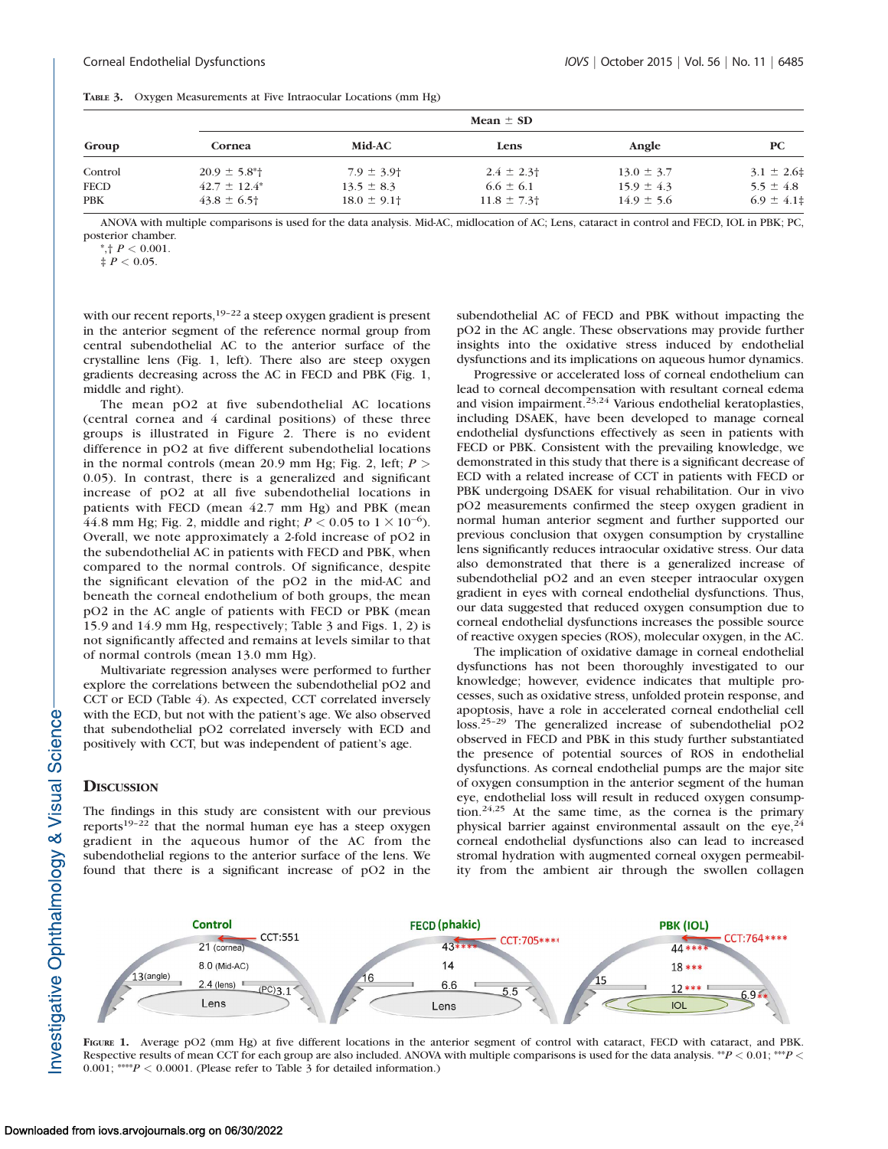TABLE 3. Oxygen Measurements at Five Intraocular Locations (mm Hg)

|             | Mean $\pm$ SD          |                |                |                |               |  |
|-------------|------------------------|----------------|----------------|----------------|---------------|--|
| Group       | <b>Cornea</b>          | Mid-AC         | Lens           | Angle          | PC            |  |
| Control     | $20.9 \pm 5.8^{\circ}$ | $7.9 \pm 3.9$  | $2.4 \pm 2.3$  | $13.0 \pm 3.7$ | $3.1 \pm 2.6$ |  |
| <b>FECD</b> | $42.7 \pm 12.4^*$      | $13.5 \pm 8.3$ | $6.6 \pm 6.1$  | $15.9 \pm 4.3$ | $5.5 \pm 4.8$ |  |
| <b>PBK</b>  | $43.8 \pm 6.5$         | $18.0 \pm 9.1$ | $11.8 \pm 7.3$ | $14.9 \pm 5.6$ | $6.9 \pm 4.1$ |  |

ANOVA with multiple comparisons is used for the data analysis. Mid-AC, midlocation of AC; Lens, cataract in control and FECD, IOL in PBK; PC, posterior chamber.

\*,†  $P < 0.001$ .

 $\ddagger P < 0.05$ .

with our recent reports, $19-22$  a steep oxygen gradient is present in the anterior segment of the reference normal group from central subendothelial AC to the anterior surface of the crystalline lens (Fig. 1, left). There also are steep oxygen gradients decreasing across the AC in FECD and PBK (Fig. 1, middle and right).

The mean pO2 at five subendothelial AC locations (central cornea and 4 cardinal positions) of these three groups is illustrated in Figure 2. There is no evident difference in pO2 at five different subendothelial locations in the normal controls (mean 20.9 mm Hg; Fig. 2, left;  $P >$ 0.05). In contrast, there is a generalized and significant increase of pO2 at all five subendothelial locations in patients with FECD (mean 42.7 mm Hg) and PBK (mean 44.8 mm Hg; Fig. 2, middle and right;  $P < 0.05$  to  $1 \times 10^{-6}$ ). Overall, we note approximately a 2-fold increase of pO2 in the subendothelial AC in patients with FECD and PBK, when compared to the normal controls. Of significance, despite the significant elevation of the pO2 in the mid-AC and beneath the corneal endothelium of both groups, the mean pO2 in the AC angle of patients with FECD or PBK (mean 15.9 and 14.9 mm Hg, respectively; Table 3 and Figs. 1, 2) is not significantly affected and remains at levels similar to that of normal controls (mean 13.0 mm Hg).

Multivariate regression analyses were performed to further explore the correlations between the subendothelial pO2 and CCT or ECD (Table 4). As expected, CCT correlated inversely with the ECD, but not with the patient's age. We also observed that subendothelial pO2 correlated inversely with ECD and positively with CCT, but was independent of patient's age.

#### **DISCUSSION**

The findings in this study are consistent with our previous reports19–22 that the normal human eye has a steep oxygen gradient in the aqueous humor of the AC from the subendothelial regions to the anterior surface of the lens. We found that there is a significant increase of pO2 in the subendothelial AC of FECD and PBK without impacting the pO2 in the AC angle. These observations may provide further insights into the oxidative stress induced by endothelial dysfunctions and its implications on aqueous humor dynamics.

Progressive or accelerated loss of corneal endothelium can lead to corneal decompensation with resultant corneal edema and vision impairment.<sup>23,24</sup> Various endothelial keratoplasties, including DSAEK, have been developed to manage corneal endothelial dysfunctions effectively as seen in patients with FECD or PBK. Consistent with the prevailing knowledge, we demonstrated in this study that there is a significant decrease of ECD with a related increase of CCT in patients with FECD or PBK undergoing DSAEK for visual rehabilitation. Our in vivo pO2 measurements confirmed the steep oxygen gradient in normal human anterior segment and further supported our previous conclusion that oxygen consumption by crystalline lens significantly reduces intraocular oxidative stress. Our data also demonstrated that there is a generalized increase of subendothelial pO2 and an even steeper intraocular oxygen gradient in eyes with corneal endothelial dysfunctions. Thus, our data suggested that reduced oxygen consumption due to corneal endothelial dysfunctions increases the possible source of reactive oxygen species (ROS), molecular oxygen, in the AC.

The implication of oxidative damage in corneal endothelial dysfunctions has not been thoroughly investigated to our knowledge; however, evidence indicates that multiple processes, such as oxidative stress, unfolded protein response, and apoptosis, have a role in accelerated corneal endothelial cell loss.25–29 The generalized increase of subendothelial pO2 observed in FECD and PBK in this study further substantiated the presence of potential sources of ROS in endothelial dysfunctions. As corneal endothelial pumps are the major site of oxygen consumption in the anterior segment of the human eye, endothelial loss will result in reduced oxygen consumption.24,25 At the same time, as the cornea is the primary physical barrier against environmental assault on the  $eye^{24}$ corneal endothelial dysfunctions also can lead to increased stromal hydration with augmented corneal oxygen permeability from the ambient air through the swollen collagen



FIGURE 1. Average pO2 (mm Hg) at five different locations in the anterior segment of control with cataract, FECD with cataract, and PBK. Respective results of mean CCT for each group are also included. ANOVA with multiple comparisons is used for the data analysis. \*\* $P < 0.01$ ; \*\*\* $P < 0.01$ } 0.001; \*\*\*\* $P < 0.0001$ . (Please refer to Table 3 for detailed information.)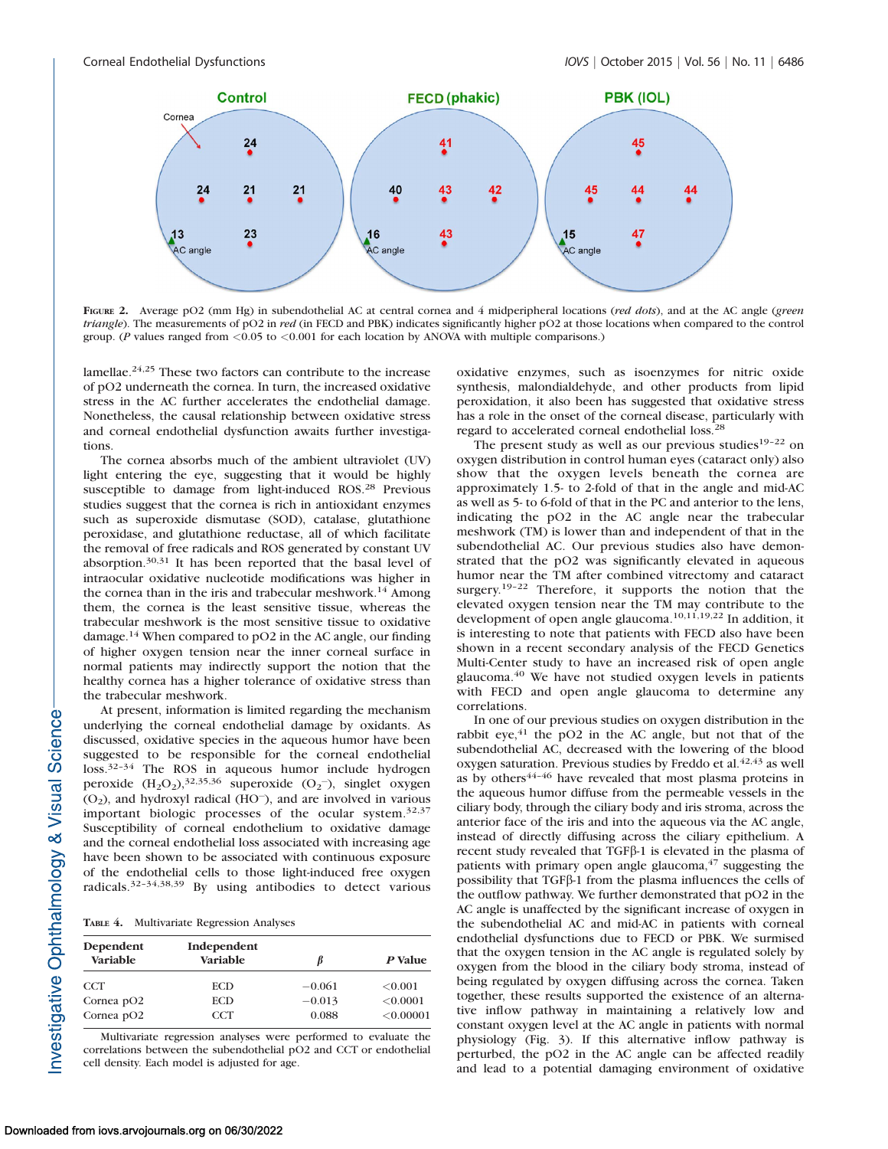

FIGURE 2. Average pO2 (mm Hg) in subendothelial AC at central cornea and 4 midperipheral locations (red dots), and at the AC angle (green triangle). The measurements of pO2 in red (in FECD and PBK) indicates significantly higher pO2 at those locations when compared to the control group. (P values ranged from  $< 0.05$  to  $< 0.001$  for each location by ANOVA with multiple comparisons.)

lamellae.24,25 These two factors can contribute to the increase of pO2 underneath the cornea. In turn, the increased oxidative stress in the AC further accelerates the endothelial damage. Nonetheless, the causal relationship between oxidative stress and corneal endothelial dysfunction awaits further investigations.

The cornea absorbs much of the ambient ultraviolet (UV) light entering the eye, suggesting that it would be highly susceptible to damage from light-induced ROS.<sup>28</sup> Previous studies suggest that the cornea is rich in antioxidant enzymes such as superoxide dismutase (SOD), catalase, glutathione peroxidase, and glutathione reductase, all of which facilitate the removal of free radicals and ROS generated by constant UV absorption.30,31 It has been reported that the basal level of intraocular oxidative nucleotide modifications was higher in the cornea than in the iris and trabecular meshwork.<sup>14</sup> Among them, the cornea is the least sensitive tissue, whereas the trabecular meshwork is the most sensitive tissue to oxidative damage.<sup>14</sup> When compared to pO2 in the AC angle, our finding of higher oxygen tension near the inner corneal surface in normal patients may indirectly support the notion that the healthy cornea has a higher tolerance of oxidative stress than the trabecular meshwork.

At present, information is limited regarding the mechanism underlying the corneal endothelial damage by oxidants. As discussed, oxidative species in the aqueous humor have been suggested to be responsible for the corneal endothelial loss.32–34 The ROS in aqueous humor include hydrogen peroxide  $(H_2O_2)$ ,<sup>32,35,36</sup> superoxide  $(O_2^-)$ , singlet oxygen  $(O<sub>2</sub>)$ , and hydroxyl radical (HO<sup>-</sup>), and are involved in various important biologic processes of the ocular system.32,37 Susceptibility of corneal endothelium to oxidative damage and the corneal endothelial loss associated with increasing age have been shown to be associated with continuous exposure of the endothelial cells to those light-induced free oxygen radicals.32–34,38,39 By using antibodies to detect various

TABLE 4. Multivariate Regression Analyses

| Dependent<br><b>Variable</b> | Independent<br>Variable | К        | P Value   |
|------------------------------|-------------------------|----------|-----------|
| <b>CCT</b>                   | <b>ECD</b>              | $-0.061$ | < 0.001   |
| Cornea pO <sub>2</sub>       | <b>ECD</b>              | $-0.013$ | < 0.0001  |
| Cornea pO2                   | <b>CCT</b>              | 0.088    | < 0.00001 |

Multivariate regression analyses were performed to evaluate the correlations between the subendothelial pO2 and CCT or endothelial cell density. Each model is adjusted for age.

oxidative enzymes, such as isoenzymes for nitric oxide synthesis, malondialdehyde, and other products from lipid peroxidation, it also been has suggested that oxidative stress has a role in the onset of the corneal disease, particularly with regard to accelerated corneal endothelial loss.<sup>28</sup>

The present study as well as our previous studies<sup>19-22</sup> on oxygen distribution in control human eyes (cataract only) also show that the oxygen levels beneath the cornea are approximately 1.5- to 2-fold of that in the angle and mid-AC as well as 5- to 6-fold of that in the PC and anterior to the lens, indicating the pO2 in the AC angle near the trabecular meshwork (TM) is lower than and independent of that in the subendothelial AC. Our previous studies also have demonstrated that the pO2 was significantly elevated in aqueous humor near the TM after combined vitrectomy and cataract surgery.<sup>19-22</sup> Therefore, it supports the notion that the elevated oxygen tension near the TM may contribute to the development of open angle glaucoma.10,11,19,22 In addition, it is interesting to note that patients with FECD also have been shown in a recent secondary analysis of the FECD Genetics Multi-Center study to have an increased risk of open angle glaucoma.<sup>40</sup> We have not studied oxygen levels in patients with FECD and open angle glaucoma to determine any correlations.

In one of our previous studies on oxygen distribution in the rabbit eye, $41$  the pO2 in the AC angle, but not that of the subendothelial AC, decreased with the lowering of the blood oxygen saturation. Previous studies by Freddo et al.<sup>42,43</sup> as well as by others $44-46$  have revealed that most plasma proteins in the aqueous humor diffuse from the permeable vessels in the ciliary body, through the ciliary body and iris stroma, across the anterior face of the iris and into the aqueous via the AC angle, instead of directly diffusing across the ciliary epithelium. A recent study revealed that TGFß-1 is elevated in the plasma of patients with primary open angle glaucoma, $47$  suggesting the possibility that TGF $\beta$ -1 from the plasma influences the cells of the outflow pathway. We further demonstrated that pO2 in the AC angle is unaffected by the significant increase of oxygen in the subendothelial AC and mid-AC in patients with corneal endothelial dysfunctions due to FECD or PBK. We surmised that the oxygen tension in the AC angle is regulated solely by oxygen from the blood in the ciliary body stroma, instead of being regulated by oxygen diffusing across the cornea. Taken together, these results supported the existence of an alternative inflow pathway in maintaining a relatively low and constant oxygen level at the AC angle in patients with normal physiology (Fig. 3). If this alternative inflow pathway is perturbed, the pO2 in the AC angle can be affected readily and lead to a potential damaging environment of oxidative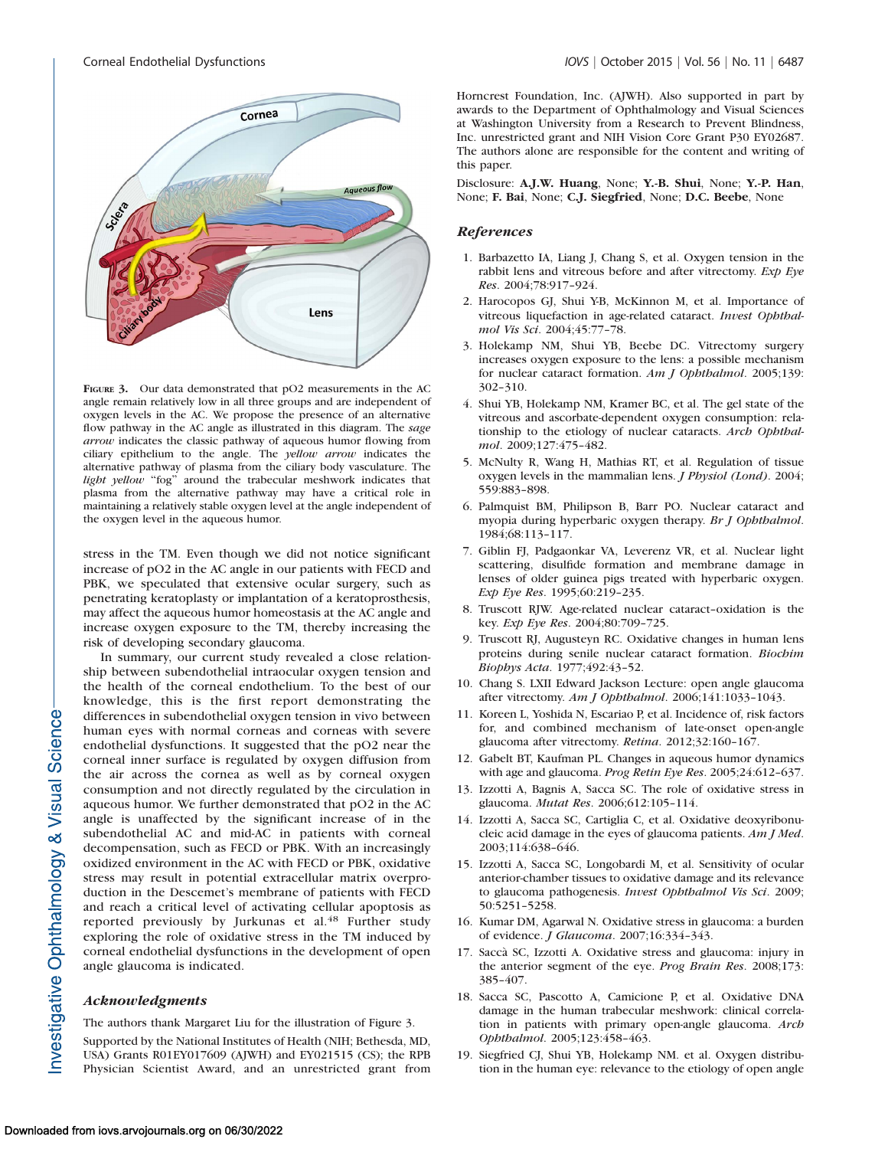

FIGURE 3. Our data demonstrated that pO2 measurements in the AC angle remain relatively low in all three groups and are independent of oxygen levels in the AC. We propose the presence of an alternative flow pathway in the AC angle as illustrated in this diagram. The sage arrow indicates the classic pathway of aqueous humor flowing from ciliary epithelium to the angle. The yellow arrow indicates the alternative pathway of plasma from the ciliary body vasculature. The light yellow "fog" around the trabecular meshwork indicates that plasma from the alternative pathway may have a critical role in maintaining a relatively stable oxygen level at the angle independent of the oxygen level in the aqueous humor.

stress in the TM. Even though we did not notice significant increase of pO2 in the AC angle in our patients with FECD and PBK, we speculated that extensive ocular surgery, such as penetrating keratoplasty or implantation of a keratoprosthesis, may affect the aqueous humor homeostasis at the AC angle and increase oxygen exposure to the TM, thereby increasing the risk of developing secondary glaucoma.

In summary, our current study revealed a close relationship between subendothelial intraocular oxygen tension and the health of the corneal endothelium. To the best of our knowledge, this is the first report demonstrating the differences in subendothelial oxygen tension in vivo between human eyes with normal corneas and corneas with severe endothelial dysfunctions. It suggested that the pO2 near the corneal inner surface is regulated by oxygen diffusion from the air across the cornea as well as by corneal oxygen consumption and not directly regulated by the circulation in aqueous humor. We further demonstrated that pO2 in the AC angle is unaffected by the significant increase of in the subendothelial AC and mid-AC in patients with corneal decompensation, such as FECD or PBK. With an increasingly oxidized environment in the AC with FECD or PBK, oxidative stress may result in potential extracellular matrix overproduction in the Descemet's membrane of patients with FECD and reach a critical level of activating cellular apoptosis as reported previously by Jurkunas et al.<sup>48</sup> Further study exploring the role of oxidative stress in the TM induced by corneal endothelial dysfunctions in the development of open angle glaucoma is indicated.

#### Acknowledgments

The authors thank Margaret Liu for the illustration of Figure 3.

Supported by the National Institutes of Health (NIH; Bethesda, MD, USA) Grants R01EY017609 (AJWH) and EY021515 (CS); the RPB Physician Scientist Award, and an unrestricted grant from Horncrest Foundation, Inc. (AJWH). Also supported in part by awards to the Department of Ophthalmology and Visual Sciences at Washington University from a Research to Prevent Blindness, Inc. unrestricted grant and NIH Vision Core Grant P30 EY02687. The authors alone are responsible for the content and writing of this paper.

Disclosure: A.J.W. Huang, None; Y.-B. Shui, None; Y.-P. Han, None; F. Bai, None; C.J. Siegfried, None; D.C. Beebe, None

#### **References**

- 1. Barbazetto IA, Liang J, Chang S, et al. Oxygen tension in the rabbit lens and vitreous before and after vitrectomy. Exp Eye Res. 2004;78:917–924.
- 2. Harocopos GJ, Shui Y-B, McKinnon M, et al. Importance of vitreous liquefaction in age-related cataract. Invest Ophthalmol Vis Sci. 2004;45:77–78.
- 3. Holekamp NM, Shui YB, Beebe DC. Vitrectomy surgery increases oxygen exposure to the lens: a possible mechanism for nuclear cataract formation. Am J Ophthalmol. 2005;139: 302–310.
- 4. Shui YB, Holekamp NM, Kramer BC, et al. The gel state of the vitreous and ascorbate-dependent oxygen consumption: relationship to the etiology of nuclear cataracts. Arch Ophthalmol. 2009;127:475–482.
- 5. McNulty R, Wang H, Mathias RT, et al. Regulation of tissue oxygen levels in the mammalian lens. *J Physiol (Lond)*. 2004; 559:883–898.
- 6. Palmquist BM, Philipson B, Barr PO. Nuclear cataract and myopia during hyperbaric oxygen therapy. Br J Ophthalmol. 1984;68:113–117.
- 7. Giblin FJ, Padgaonkar VA, Leverenz VR, et al. Nuclear light scattering, disulfide formation and membrane damage in lenses of older guinea pigs treated with hyperbaric oxygen. Exp Eye Res. 1995;60:219–235.
- 8. Truscott RJW. Age-related nuclear cataract–oxidation is the key. Exp Eye Res. 2004;80:709–725.
- 9. Truscott RJ, Augusteyn RC. Oxidative changes in human lens proteins during senile nuclear cataract formation. Biochim Biophys Acta. 1977;492:43–52.
- 10. Chang S. LXII Edward Jackson Lecture: open angle glaucoma after vitrectomy. Am J Ophthalmol. 2006;141:1033–1043.
- 11. Koreen L, Yoshida N, Escariao P, et al. Incidence of, risk factors for, and combined mechanism of late-onset open-angle glaucoma after vitrectomy. Retina. 2012;32:160–167.
- 12. Gabelt BT, Kaufman PL. Changes in aqueous humor dynamics with age and glaucoma. Prog Retin Eye Res. 2005;24:612–637.
- 13. Izzotti A, Bagnis A, Sacca SC. The role of oxidative stress in glaucoma. Mutat Res. 2006;612:105–114.
- 14. Izzotti A, Sacca SC, Cartiglia C, et al. Oxidative deoxyribonucleic acid damage in the eyes of glaucoma patients. Am J Med. 2003;114:638–646.
- 15. Izzotti A, Sacca SC, Longobardi M, et al. Sensitivity of ocular anterior-chamber tissues to oxidative damage and its relevance to glaucoma pathogenesis. Invest Ophthalmol Vis Sci. 2009; 50:5251–5258.
- 16. Kumar DM, Agarwal N. Oxidative stress in glaucoma: a burden of evidence. J Glaucoma. 2007;16:334–343.
- 17. Sacc`a SC, Izzotti A. Oxidative stress and glaucoma: injury in the anterior segment of the eye. Prog Brain Res. 2008;173: 385–407.
- 18. Sacca SC, Pascotto A, Camicione P, et al. Oxidative DNA damage in the human trabecular meshwork: clinical correlation in patients with primary open-angle glaucoma. Arch Ophthalmol. 2005;123:458–463.
- 19. Siegfried CJ, Shui YB, Holekamp NM. et al. Oxygen distribution in the human eye: relevance to the etiology of open angle